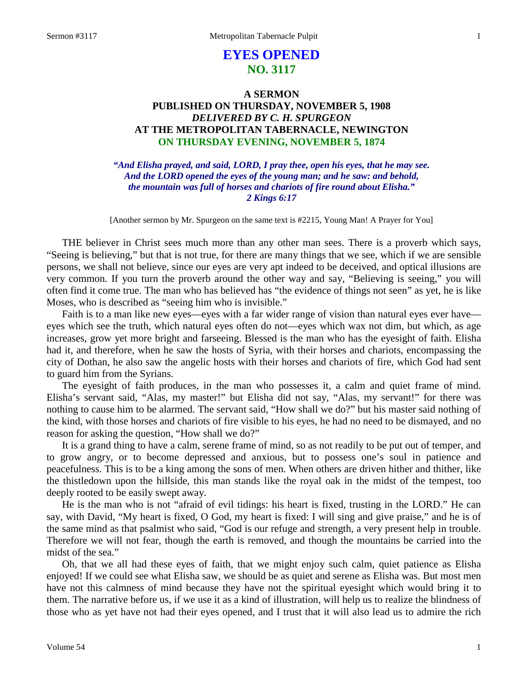# **EYES OPENED NO. 3117**

## **A SERMON PUBLISHED ON THURSDAY, NOVEMBER 5, 1908** *DELIVERED BY C. H. SPURGEON* **AT THE METROPOLITAN TABERNACLE, NEWINGTON ON THURSDAY EVENING, NOVEMBER 5, 1874**

*"And Elisha prayed, and said, LORD, I pray thee, open his eyes, that he may see. And the LORD opened the eyes of the young man; and he saw: and behold, the mountain was full of horses and chariots of fire round about Elisha." 2 Kings 6:17*

[Another sermon by Mr. Spurgeon on the same text is #2215, Young Man! A Prayer for You]

THE believer in Christ sees much more than any other man sees. There is a proverb which says, "Seeing is believing," but that is not true, for there are many things that we see, which if we are sensible persons, we shall not believe, since our eyes are very apt indeed to be deceived, and optical illusions are very common. If you turn the proverb around the other way and say, "Believing is seeing," you will often find it come true. The man who has believed has "the evidence of things not seen" as yet, he is like Moses, who is described as "seeing him who is invisible."

Faith is to a man like new eyes—eyes with a far wider range of vision than natural eyes ever have eyes which see the truth, which natural eyes often do not—eyes which wax not dim, but which, as age increases, grow yet more bright and farseeing. Blessed is the man who has the eyesight of faith. Elisha had it, and therefore, when he saw the hosts of Syria, with their horses and chariots, encompassing the city of Dothan, he also saw the angelic hosts with their horses and chariots of fire, which God had sent to guard him from the Syrians.

The eyesight of faith produces, in the man who possesses it, a calm and quiet frame of mind. Elisha's servant said, "Alas, my master!" but Elisha did not say, "Alas, my servant!" for there was nothing to cause him to be alarmed. The servant said, "How shall we do?" but his master said nothing of the kind, with those horses and chariots of fire visible to his eyes, he had no need to be dismayed, and no reason for asking the question, "How shall we do?"

It is a grand thing to have a calm, serene frame of mind, so as not readily to be put out of temper, and to grow angry, or to become depressed and anxious, but to possess one's soul in patience and peacefulness. This is to be a king among the sons of men. When others are driven hither and thither, like the thistledown upon the hillside, this man stands like the royal oak in the midst of the tempest, too deeply rooted to be easily swept away.

He is the man who is not "afraid of evil tidings: his heart is fixed, trusting in the LORD." He can say, with David, "My heart is fixed, O God, my heart is fixed: I will sing and give praise," and he is of the same mind as that psalmist who said, "God is our refuge and strength, a very present help in trouble. Therefore we will not fear, though the earth is removed, and though the mountains be carried into the midst of the sea."

Oh, that we all had these eyes of faith, that we might enjoy such calm, quiet patience as Elisha enjoyed! If we could see what Elisha saw, we should be as quiet and serene as Elisha was. But most men have not this calmness of mind because they have not the spiritual eyesight which would bring it to them. The narrative before us, if we use it as a kind of illustration, will help us to realize the blindness of those who as yet have not had their eyes opened, and I trust that it will also lead us to admire the rich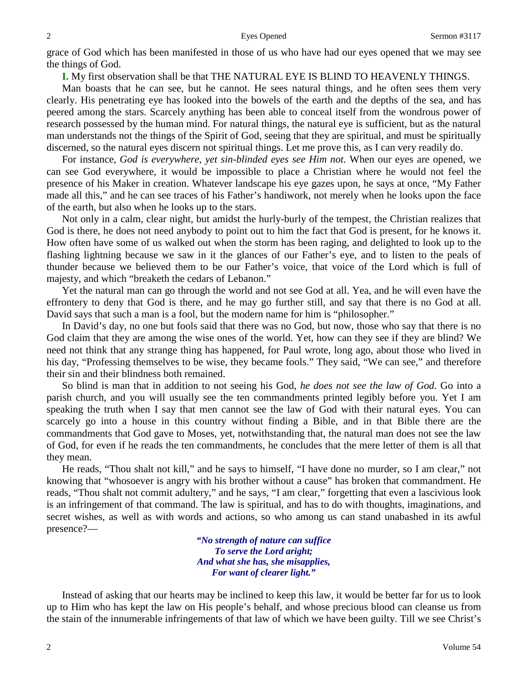grace of God which has been manifested in those of us who have had our eyes opened that we may see the things of God.

**I.** My first observation shall be that THE NATURAL EYE IS BLIND TO HEAVENLY THINGS.

Man boasts that he can see, but he cannot. He sees natural things, and he often sees them very clearly. His penetrating eye has looked into the bowels of the earth and the depths of the sea, and has peered among the stars. Scarcely anything has been able to conceal itself from the wondrous power of research possessed by the human mind. For natural things, the natural eye is sufficient, but as the natural man understands not the things of the Spirit of God, seeing that they are spiritual, and must be spiritually discerned, so the natural eyes discern not spiritual things. Let me prove this, as I can very readily do.

For instance, *God is everywhere, yet sin-blinded eyes see Him not.* When our eyes are opened, we can see God everywhere, it would be impossible to place a Christian where he would not feel the presence of his Maker in creation. Whatever landscape his eye gazes upon, he says at once, "My Father made all this," and he can see traces of his Father's handiwork, not merely when he looks upon the face of the earth, but also when he looks up to the stars.

Not only in a calm, clear night, but amidst the hurly-burly of the tempest, the Christian realizes that God is there, he does not need anybody to point out to him the fact that God is present, for he knows it. How often have some of us walked out when the storm has been raging, and delighted to look up to the flashing lightning because we saw in it the glances of our Father's eye, and to listen to the peals of thunder because we believed them to be our Father's voice, that voice of the Lord which is full of majesty, and which "breaketh the cedars of Lebanon."

Yet the natural man can go through the world and not see God at all. Yea, and he will even have the effrontery to deny that God is there, and he may go further still, and say that there is no God at all. David says that such a man is a fool, but the modern name for him is "philosopher."

In David's day, no one but fools said that there was no God, but now, those who say that there is no God claim that they are among the wise ones of the world. Yet, how can they see if they are blind? We need not think that any strange thing has happened, for Paul wrote, long ago, about those who lived in his day, "Professing themselves to be wise, they became fools." They said, "We can see," and therefore their sin and their blindness both remained.

So blind is man that in addition to not seeing his God, *he does not see the law of God.* Go into a parish church, and you will usually see the ten commandments printed legibly before you. Yet I am speaking the truth when I say that men cannot see the law of God with their natural eyes. You can scarcely go into a house in this country without finding a Bible, and in that Bible there are the commandments that God gave to Moses, yet, notwithstanding that, the natural man does not see the law of God, for even if he reads the ten commandments, he concludes that the mere letter of them is all that they mean.

He reads, "Thou shalt not kill," and he says to himself, "I have done no murder, so I am clear," not knowing that "whosoever is angry with his brother without a cause" has broken that commandment. He reads, "Thou shalt not commit adultery," and he says, "I am clear," forgetting that even a lascivious look is an infringement of that command. The law is spiritual, and has to do with thoughts, imaginations, and secret wishes, as well as with words and actions, so who among us can stand unabashed in its awful presence?—

> *"No strength of nature can suffice To serve the Lord aright; And what she has, she misapplies, For want of clearer light."*

Instead of asking that our hearts may be inclined to keep this law, it would be better far for us to look up to Him who has kept the law on His people's behalf, and whose precious blood can cleanse us from the stain of the innumerable infringements of that law of which we have been guilty. Till we see Christ's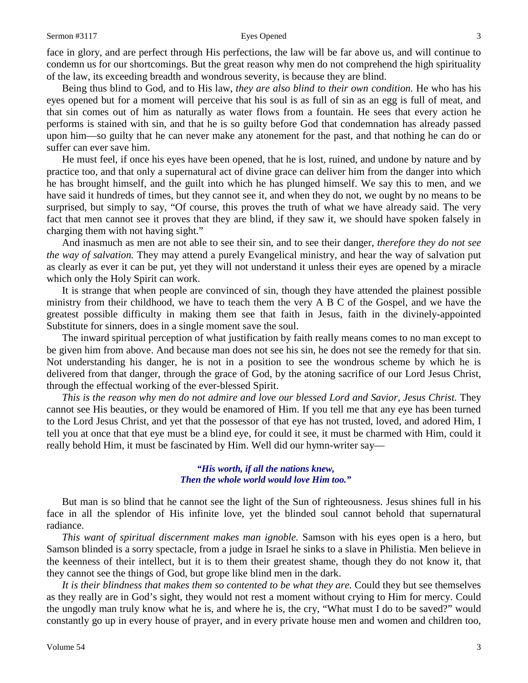face in glory, and are perfect through His perfections, the law will be far above us, and will continue to condemn us for our shortcomings. But the great reason why men do not comprehend the high spirituality of the law, its exceeding breadth and wondrous severity, is because they are blind.

Being thus blind to God, and to His law, *they are also blind to their own condition.* He who has his eyes opened but for a moment will perceive that his soul is as full of sin as an egg is full of meat, and that sin comes out of him as naturally as water flows from a fountain. He sees that every action he performs is stained with sin, and that he is so guilty before God that condemnation has already passed upon him—so guilty that he can never make any atonement for the past, and that nothing he can do or suffer can ever save him.

He must feel, if once his eyes have been opened, that he is lost, ruined, and undone by nature and by practice too, and that only a supernatural act of divine grace can deliver him from the danger into which he has brought himself, and the guilt into which he has plunged himself. We say this to men, and we have said it hundreds of times, but they cannot see it, and when they do not, we ought by no means to be surprised, but simply to say, "Of course, this proves the truth of what we have already said. The very fact that men cannot see it proves that they are blind, if they saw it, we should have spoken falsely in charging them with not having sight."

And inasmuch as men are not able to see their sin, and to see their danger, *therefore they do not see the way of salvation.* They may attend a purely Evangelical ministry, and hear the way of salvation put as clearly as ever it can be put, yet they will not understand it unless their eyes are opened by a miracle which only the Holy Spirit can work.

It is strange that when people are convinced of sin, though they have attended the plainest possible ministry from their childhood, we have to teach them the very A B C of the Gospel, and we have the greatest possible difficulty in making them see that faith in Jesus, faith in the divinely-appointed Substitute for sinners, does in a single moment save the soul.

The inward spiritual perception of what justification by faith really means comes to no man except to be given him from above. And because man does not see his sin, he does not see the remedy for that sin. Not understanding his danger, he is not in a position to see the wondrous scheme by which he is delivered from that danger, through the grace of God, by the atoning sacrifice of our Lord Jesus Christ, through the effectual working of the ever-blessed Spirit.

*This is the reason why men do not admire and love our blessed Lord and Savior, Jesus Christ.* They cannot see His beauties, or they would be enamored of Him. If you tell me that any eye has been turned to the Lord Jesus Christ, and yet that the possessor of that eye has not trusted, loved, and adored Him, I tell you at once that that eye must be a blind eye, for could it see, it must be charmed with Him, could it really behold Him, it must be fascinated by Him. Well did our hymn-writer say—

### *"His worth, if all the nations knew, Then the whole world would love Him too."*

But man is so blind that he cannot see the light of the Sun of righteousness. Jesus shines full in his face in all the splendor of His infinite love, yet the blinded soul cannot behold that supernatural radiance.

*This want of spiritual discernment makes man ignoble.* Samson with his eyes open is a hero, but Samson blinded is a sorry spectacle, from a judge in Israel he sinks to a slave in Philistia. Men believe in the keenness of their intellect, but it is to them their greatest shame, though they do not know it, that they cannot see the things of God, but grope like blind men in the dark.

It is their blindness that makes them so contented to be what they are. Could they but see themselves as they really are in God's sight, they would not rest a moment without crying to Him for mercy. Could the ungodly man truly know what he is, and where he is, the cry, "What must I do to be saved?" would constantly go up in every house of prayer, and in every private house men and women and children too,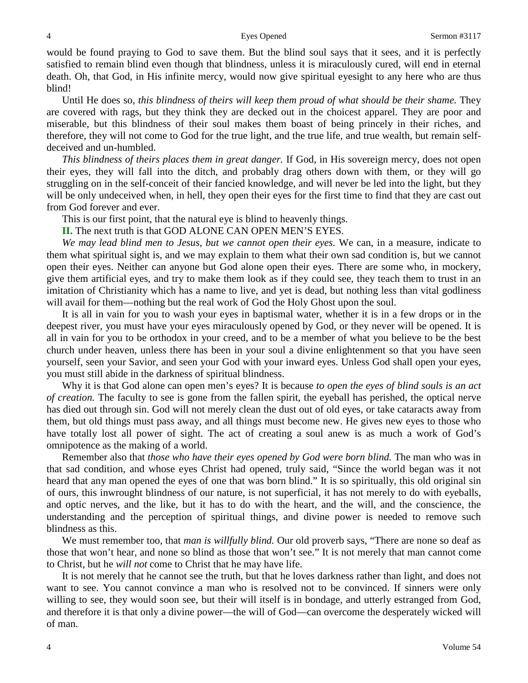would be found praying to God to save them. But the blind soul says that it sees, and it is perfectly satisfied to remain blind even though that blindness, unless it is miraculously cured, will end in eternal death. Oh, that God, in His infinite mercy, would now give spiritual eyesight to any here who are thus blind!

Until He does so, *this blindness of theirs will keep them proud of what should be their shame.* They are covered with rags, but they think they are decked out in the choicest apparel. They are poor and miserable, but this blindness of their soul makes them boast of being princely in their riches, and therefore, they will not come to God for the true light, and the true life, and true wealth, but remain selfdeceived and un-humbled.

*This blindness of theirs places them in great danger.* If God, in His sovereign mercy, does not open their eyes, they will fall into the ditch, and probably drag others down with them, or they will go struggling on in the self-conceit of their fancied knowledge, and will never be led into the light, but they will be only undeceived when, in hell, they open their eyes for the first time to find that they are cast out from God forever and ever.

This is our first point, that the natural eye is blind to heavenly things.

**II.** The next truth is that GOD ALONE CAN OPEN MEN'S EYES.

*We may lead blind men to Jesus, but we cannot open their eyes.* We can, in a measure, indicate to them what spiritual sight is, and we may explain to them what their own sad condition is, but we cannot open their eyes. Neither can anyone but God alone open their eyes. There are some who, in mockery, give them artificial eyes, and try to make them look as if they could see, they teach them to trust in an imitation of Christianity which has a name to live, and yet is dead, but nothing less than vital godliness will avail for them—nothing but the real work of God the Holy Ghost upon the soul.

It is all in vain for you to wash your eyes in baptismal water, whether it is in a few drops or in the deepest river, you must have your eyes miraculously opened by God, or they never will be opened. It is all in vain for you to be orthodox in your creed, and to be a member of what you believe to be the best church under heaven, unless there has been in your soul a divine enlightenment so that you have seen yourself, seen your Savior, and seen your God with your inward eyes. Unless God shall open your eyes, you must still abide in the darkness of spiritual blindness.

Why it is that God alone can open men's eyes? It is because *to open the eyes of blind souls is an act of creation.* The faculty to see is gone from the fallen spirit, the eyeball has perished, the optical nerve has died out through sin. God will not merely clean the dust out of old eyes, or take cataracts away from them, but old things must pass away, and all things must become new. He gives new eyes to those who have totally lost all power of sight. The act of creating a soul anew is as much a work of God's omnipotence as the making of a world.

Remember also that *those who have their eyes opened by God were born blind.* The man who was in that sad condition, and whose eyes Christ had opened, truly said, "Since the world began was it not heard that any man opened the eyes of one that was born blind." It is so spiritually, this old original sin of ours, this inwrought blindness of our nature, is not superficial, it has not merely to do with eyeballs, and optic nerves, and the like, but it has to do with the heart, and the will, and the conscience, the understanding and the perception of spiritual things, and divine power is needed to remove such blindness as this.

We must remember too, that *man is willfully blind.* Our old proverb says, "There are none so deaf as those that won't hear, and none so blind as those that won't see." It is not merely that man cannot come to Christ, but he *will not* come to Christ that he may have life.

It is not merely that he cannot see the truth, but that he loves darkness rather than light, and does not want to see. You cannot convince a man who is resolved not to be convinced. If sinners were only willing to see, they would soon see, but their will itself is in bondage, and utterly estranged from God, and therefore it is that only a divine power—the will of God—can overcome the desperately wicked will of man.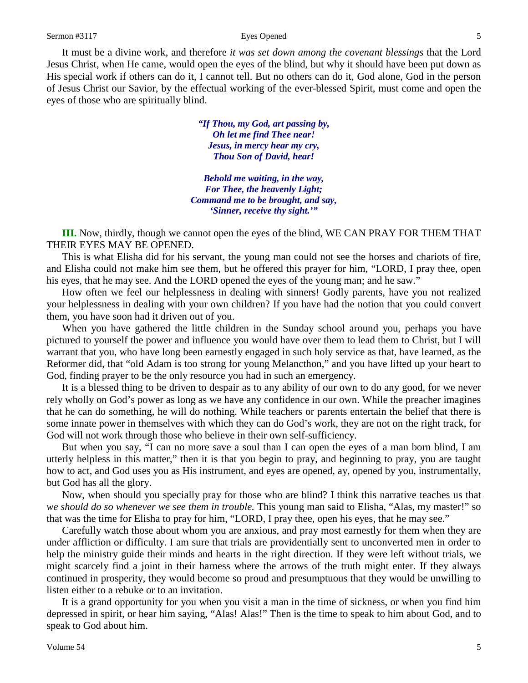It must be a divine work, and therefore *it was set down among the covenant blessings* that the Lord Jesus Christ, when He came, would open the eyes of the blind, but why it should have been put down as His special work if others can do it, I cannot tell. But no others can do it, God alone, God in the person of Jesus Christ our Savior, by the effectual working of the ever-blessed Spirit, must come and open the eyes of those who are spiritually blind.

> *"If Thou, my God, art passing by, Oh let me find Thee near! Jesus, in mercy hear my cry, Thou Son of David, hear!*

*Behold me waiting, in the way, For Thee, the heavenly Light; Command me to be brought, and say, 'Sinner, receive thy sight.'"*

**III.** Now, thirdly, though we cannot open the eyes of the blind, WE CAN PRAY FOR THEM THAT THEIR EYES MAY BE OPENED.

This is what Elisha did for his servant, the young man could not see the horses and chariots of fire, and Elisha could not make him see them, but he offered this prayer for him, "LORD, I pray thee, open his eyes, that he may see. And the LORD opened the eyes of the young man; and he saw."

How often we feel our helplessness in dealing with sinners! Godly parents, have you not realized your helplessness in dealing with your own children? If you have had the notion that you could convert them, you have soon had it driven out of you.

When you have gathered the little children in the Sunday school around you, perhaps you have pictured to yourself the power and influence you would have over them to lead them to Christ, but I will warrant that you, who have long been earnestly engaged in such holy service as that, have learned, as the Reformer did, that "old Adam is too strong for young Melancthon," and you have lifted up your heart to God, finding prayer to be the only resource you had in such an emergency.

It is a blessed thing to be driven to despair as to any ability of our own to do any good, for we never rely wholly on God's power as long as we have any confidence in our own. While the preacher imagines that he can do something, he will do nothing. While teachers or parents entertain the belief that there is some innate power in themselves with which they can do God's work, they are not on the right track, for God will not work through those who believe in their own self-sufficiency.

But when you say, "I can no more save a soul than I can open the eyes of a man born blind, I am utterly helpless in this matter," then it is that you begin to pray, and beginning to pray, you are taught how to act, and God uses you as His instrument, and eyes are opened, ay, opened by you, instrumentally, but God has all the glory.

Now, when should you specially pray for those who are blind? I think this narrative teaches us that *we should do so whenever we see them in trouble.* This young man said to Elisha, "Alas, my master!" so that was the time for Elisha to pray for him, "LORD, I pray thee, open his eyes, that he may see."

Carefully watch those about whom you are anxious, and pray most earnestly for them when they are under affliction or difficulty. I am sure that trials are providentially sent to unconverted men in order to help the ministry guide their minds and hearts in the right direction. If they were left without trials, we might scarcely find a joint in their harness where the arrows of the truth might enter. If they always continued in prosperity, they would become so proud and presumptuous that they would be unwilling to listen either to a rebuke or to an invitation.

It is a grand opportunity for you when you visit a man in the time of sickness, or when you find him depressed in spirit, or hear him saying, "Alas! Alas!" Then is the time to speak to him about God, and to speak to God about him.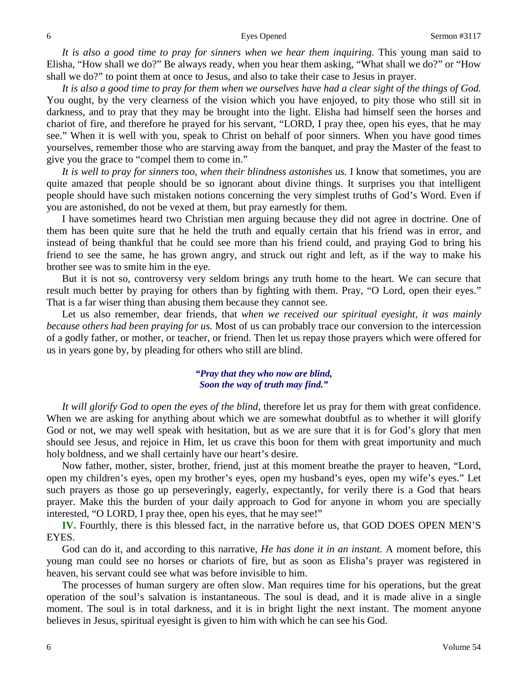*It is also a good time to pray for sinners when we hear them inquiring.* This young man said to Elisha, "How shall we do?" Be always ready, when you hear them asking, "What shall we do?" or "How shall we do?" to point them at once to Jesus, and also to take their case to Jesus in prayer.

*It is also a good time to pray for them when we ourselves have had a clear sight of the things of God.*  You ought, by the very clearness of the vision which you have enjoyed, to pity those who still sit in darkness, and to pray that they may be brought into the light. Elisha had himself seen the horses and chariot of fire, and therefore he prayed for his servant, "LORD, I pray thee, open his eyes, that he may see." When it is well with you, speak to Christ on behalf of poor sinners. When you have good times yourselves, remember those who are starving away from the banquet, and pray the Master of the feast to give you the grace to "compel them to come in."

*It is well to pray for sinners too, when their blindness astonishes us.* I know that sometimes, you are quite amazed that people should be so ignorant about divine things. It surprises you that intelligent people should have such mistaken notions concerning the very simplest truths of God's Word. Even if you are astonished, do not be vexed at them, but pray earnestly for them.

I have sometimes heard two Christian men arguing because they did not agree in doctrine. One of them has been quite sure that he held the truth and equally certain that his friend was in error, and instead of being thankful that he could see more than his friend could, and praying God to bring his friend to see the same, he has grown angry, and struck out right and left, as if the way to make his brother see was to smite him in the eye.

But it is not so, controversy very seldom brings any truth home to the heart. We can secure that result much better by praying for others than by fighting with them. Pray, "O Lord, open their eyes." That is a far wiser thing than abusing them because they cannot see.

Let us also remember, dear friends, that *when we received our spiritual eyesight, it was mainly because others had been praying for us.* Most of us can probably trace our conversion to the intercession of a godly father, or mother, or teacher, or friend. Then let us repay those prayers which were offered for us in years gone by, by pleading for others who still are blind.

### *"Pray that they who now are blind, Soon the way of truth may find."*

*It will glorify God to open the eyes of the blind,* therefore let us pray for them with great confidence. When we are asking for anything about which we are somewhat doubtful as to whether it will glorify God or not, we may well speak with hesitation, but as we are sure that it is for God's glory that men should see Jesus, and rejoice in Him, let us crave this boon for them with great importunity and much holy boldness, and we shall certainly have our heart's desire.

Now father, mother, sister, brother, friend, just at this moment breathe the prayer to heaven, "Lord, open my children's eyes, open my brother's eyes, open my husband's eyes, open my wife's eyes." Let such prayers as those go up perseveringly, eagerly, expectantly, for verily there is a God that hears prayer. Make this the burden of your daily approach to God for anyone in whom you are specially interested, "O LORD, I pray thee, open his eyes, that he may see!"

**IV.** Fourthly, there is this blessed fact, in the narrative before us, that GOD DOES OPEN MEN'S EYES.

God can do it, and according to this narrative, *He has done it in an instant.* A moment before, this young man could see no horses or chariots of fire, but as soon as Elisha's prayer was registered in heaven, his servant could see what was before invisible to him.

The processes of human surgery are often slow. Man requires time for his operations, but the great operation of the soul's salvation is instantaneous. The soul is dead, and it is made alive in a single moment. The soul is in total darkness, and it is in bright light the next instant. The moment anyone believes in Jesus, spiritual eyesight is given to him with which he can see his God.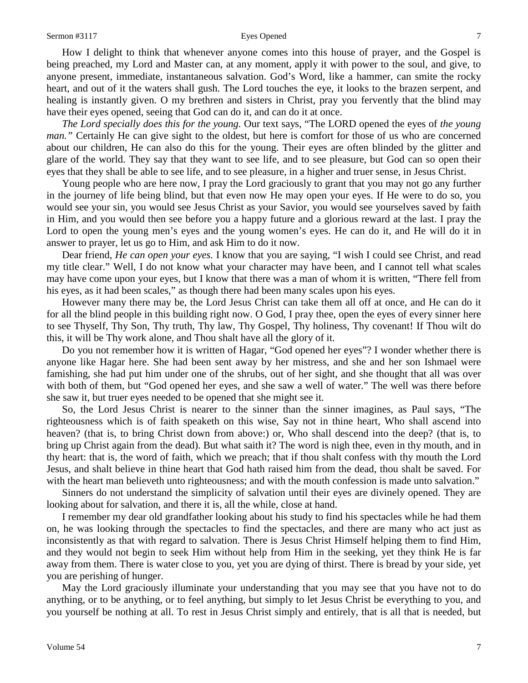How I delight to think that whenever anyone comes into this house of prayer, and the Gospel is being preached, my Lord and Master can, at any moment, apply it with power to the soul, and give, to anyone present, immediate, instantaneous salvation. God's Word, like a hammer, can smite the rocky heart, and out of it the waters shall gush. The Lord touches the eye, it looks to the brazen serpent, and healing is instantly given. O my brethren and sisters in Christ, pray you fervently that the blind may have their eyes opened, seeing that God can do it, and can do it at once.

*The Lord specially does this for the young.* Our text says, "The LORD opened the eyes of *the young man."* Certainly He can give sight to the oldest, but here is comfort for those of us who are concerned about our children, He can also do this for the young. Their eyes are often blinded by the glitter and glare of the world. They say that they want to see life, and to see pleasure, but God can so open their eyes that they shall be able to see life, and to see pleasure, in a higher and truer sense, in Jesus Christ.

Young people who are here now, I pray the Lord graciously to grant that you may not go any further in the journey of life being blind, but that even now He may open your eyes. If He were to do so, you would see your sin, you would see Jesus Christ as your Savior, you would see yourselves saved by faith in Him, and you would then see before you a happy future and a glorious reward at the last. I pray the Lord to open the young men's eyes and the young women's eyes. He can do it, and He will do it in answer to prayer, let us go to Him, and ask Him to do it now.

Dear friend, *He can open your eyes.* I know that you are saying, "I wish I could see Christ, and read my title clear." Well, I do not know what your character may have been, and I cannot tell what scales may have come upon your eyes, but I know that there was a man of whom it is written, "There fell from his eyes, as it had been scales," as though there had been many scales upon his eyes.

However many there may be, the Lord Jesus Christ can take them all off at once, and He can do it for all the blind people in this building right now. O God, I pray thee, open the eyes of every sinner here to see Thyself, Thy Son, Thy truth, Thy law, Thy Gospel, Thy holiness, Thy covenant! If Thou wilt do this, it will be Thy work alone, and Thou shalt have all the glory of it.

Do you not remember how it is written of Hagar, "God opened her eyes"? I wonder whether there is anyone like Hagar here. She had been sent away by her mistress, and she and her son Ishmael were famishing, she had put him under one of the shrubs, out of her sight, and she thought that all was over with both of them, but "God opened her eyes, and she saw a well of water." The well was there before she saw it, but truer eyes needed to be opened that she might see it.

So, the Lord Jesus Christ is nearer to the sinner than the sinner imagines, as Paul says, "The righteousness which is of faith speaketh on this wise, Say not in thine heart, Who shall ascend into heaven? (that is, to bring Christ down from above:) or, Who shall descend into the deep? (that is, to bring up Christ again from the dead). But what saith it? The word is nigh thee, even in thy mouth, and in thy heart: that is, the word of faith, which we preach; that if thou shalt confess with thy mouth the Lord Jesus, and shalt believe in thine heart that God hath raised him from the dead, thou shalt be saved. For with the heart man believeth unto righteousness; and with the mouth confession is made unto salvation."

Sinners do not understand the simplicity of salvation until their eyes are divinely opened. They are looking about for salvation, and there it is, all the while, close at hand.

I remember my dear old grandfather looking about his study to find his spectacles while he had them on, he was looking through the spectacles to find the spectacles, and there are many who act just as inconsistently as that with regard to salvation. There is Jesus Christ Himself helping them to find Him, and they would not begin to seek Him without help from Him in the seeking, yet they think He is far away from them. There is water close to you, yet you are dying of thirst. There is bread by your side, yet you are perishing of hunger.

May the Lord graciously illuminate your understanding that you may see that you have not to do anything, or to be anything, or to feel anything, but simply to let Jesus Christ be everything to you, and you yourself be nothing at all. To rest in Jesus Christ simply and entirely, that is all that is needed, but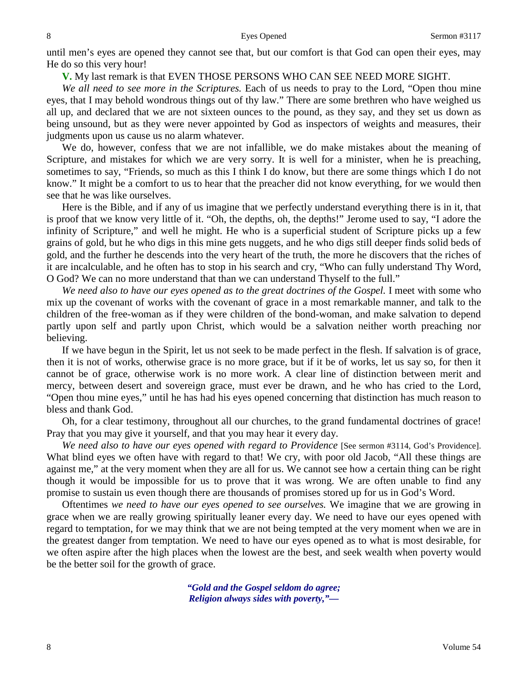until men's eyes are opened they cannot see that, but our comfort is that God can open their eyes, may He do so this very hour!

**V.** My last remark is that EVEN THOSE PERSONS WHO CAN SEE NEED MORE SIGHT.

*We all need to see more in the Scriptures.* Each of us needs to pray to the Lord, "Open thou mine eyes, that I may behold wondrous things out of thy law." There are some brethren who have weighed us all up, and declared that we are not sixteen ounces to the pound, as they say, and they set us down as being unsound, but as they were never appointed by God as inspectors of weights and measures, their judgments upon us cause us no alarm whatever.

We do, however, confess that we are not infallible, we do make mistakes about the meaning of Scripture, and mistakes for which we are very sorry. It is well for a minister, when he is preaching, sometimes to say, "Friends, so much as this I think I do know, but there are some things which I do not know." It might be a comfort to us to hear that the preacher did not know everything, for we would then see that he was like ourselves.

Here is the Bible, and if any of us imagine that we perfectly understand everything there is in it, that is proof that we know very little of it. "Oh, the depths, oh, the depths!" Jerome used to say, "I adore the infinity of Scripture," and well he might. He who is a superficial student of Scripture picks up a few grains of gold, but he who digs in this mine gets nuggets, and he who digs still deeper finds solid beds of gold, and the further he descends into the very heart of the truth, the more he discovers that the riches of it are incalculable, and he often has to stop in his search and cry, "Who can fully understand Thy Word, O God? We can no more understand that than we can understand Thyself to the full."

*We need also to have our eyes opened as to the great doctrines of the Gospel.* I meet with some who mix up the covenant of works with the covenant of grace in a most remarkable manner, and talk to the children of the free-woman as if they were children of the bond-woman, and make salvation to depend partly upon self and partly upon Christ, which would be a salvation neither worth preaching nor believing.

If we have begun in the Spirit, let us not seek to be made perfect in the flesh. If salvation is of grace, then it is not of works, otherwise grace is no more grace, but if it be of works, let us say so, for then it cannot be of grace, otherwise work is no more work. A clear line of distinction between merit and mercy, between desert and sovereign grace, must ever be drawn, and he who has cried to the Lord, "Open thou mine eyes," until he has had his eyes opened concerning that distinction has much reason to bless and thank God.

Oh, for a clear testimony, throughout all our churches, to the grand fundamental doctrines of grace! Pray that you may give it yourself, and that you may hear it every day.

*We need also to have our eyes opened with regard to Providence* [See sermon #3114, God's Providence]. What blind eyes we often have with regard to that! We cry, with poor old Jacob, "All these things are against me," at the very moment when they are all for us. We cannot see how a certain thing can be right though it would be impossible for us to prove that it was wrong. We are often unable to find any promise to sustain us even though there are thousands of promises stored up for us in God's Word.

Oftentimes *we need to have our eyes opened to see ourselves.* We imagine that we are growing in grace when we are really growing spiritually leaner every day. We need to have our eyes opened with regard to temptation, for we may think that we are not being tempted at the very moment when we are in the greatest danger from temptation. We need to have our eyes opened as to what is most desirable, for we often aspire after the high places when the lowest are the best, and seek wealth when poverty would be the better soil for the growth of grace.

> *"Gold and the Gospel seldom do agree; Religion always sides with poverty,"—*